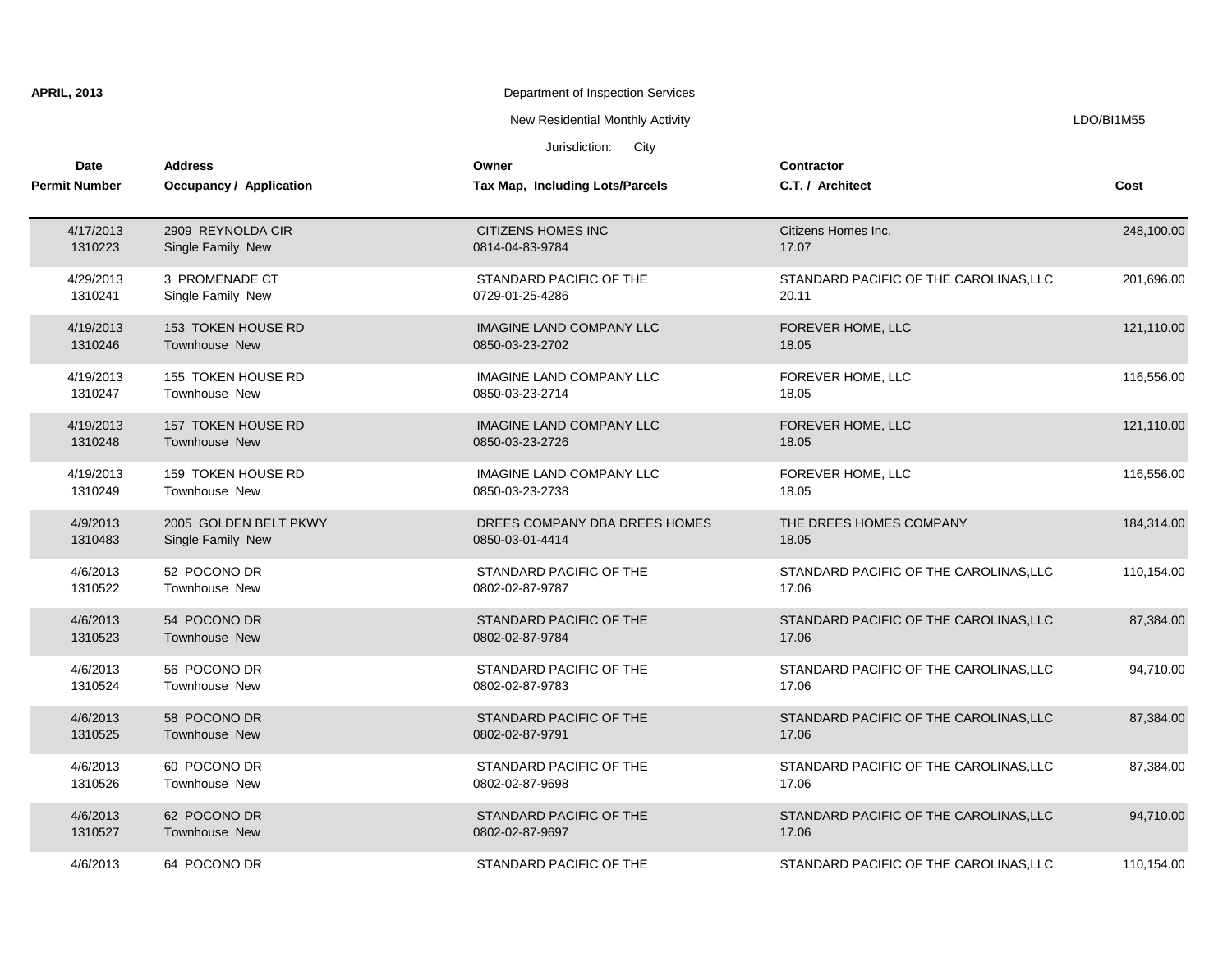| <b>APRIL, 2013</b><br>Department of Inspection Services |                           |                                  |                                        |            |
|---------------------------------------------------------|---------------------------|----------------------------------|----------------------------------------|------------|
|                                                         |                           | New Residential Monthly Activity |                                        | LDO/BI1M55 |
|                                                         |                           | City<br>Jurisdiction:            |                                        |            |
| Date                                                    | <b>Address</b>            | Owner                            | Contractor                             |            |
| <b>Permit Number</b>                                    | Occupancy / Application   | Tax Map, Including Lots/Parcels  | C.T. / Architect                       | Cost       |
| 4/17/2013                                               | 2909 REYNOLDA CIR         | <b>CITIZENS HOMES INC</b>        | Citizens Homes Inc.                    | 248,100.00 |
| 1310223                                                 | Single Family New         | 0814-04-83-9784                  | 17.07                                  |            |
| 4/29/2013                                               | 3 PROMENADE CT            | STANDARD PACIFIC OF THE          | STANDARD PACIFIC OF THE CAROLINAS, LLC | 201,696.00 |
| 1310241                                                 | Single Family New         | 0729-01-25-4286                  | 20.11                                  |            |
| 4/19/2013                                               | 153 TOKEN HOUSE RD        | <b>IMAGINE LAND COMPANY LLC</b>  | FOREVER HOME, LLC                      | 121,110.00 |
| 1310246                                                 | <b>Townhouse New</b>      | 0850-03-23-2702                  | 18.05                                  |            |
| 4/19/2013                                               | 155 TOKEN HOUSE RD        | <b>IMAGINE LAND COMPANY LLC</b>  | FOREVER HOME, LLC                      | 116,556.00 |
| 1310247                                                 | Townhouse New             | 0850-03-23-2714                  | 18.05                                  |            |
| 4/19/2013                                               | 157 TOKEN HOUSE RD        | <b>IMAGINE LAND COMPANY LLC</b>  | FOREVER HOME, LLC                      | 121,110.00 |
| 1310248                                                 | Townhouse New             | 0850-03-23-2726                  | 18.05                                  |            |
| 4/19/2013                                               | <b>159 TOKEN HOUSE RD</b> | <b>IMAGINE LAND COMPANY LLC</b>  | FOREVER HOME, LLC                      | 116,556.00 |
| 1310249                                                 | <b>Townhouse New</b>      | 0850-03-23-2738                  | 18.05                                  |            |
| 4/9/2013                                                | 2005 GOLDEN BELT PKWY     | DREES COMPANY DBA DREES HOMES    | THE DREES HOMES COMPANY                | 184,314.00 |
| 1310483                                                 | Single Family New         | 0850-03-01-4414                  | 18.05                                  |            |
| 4/6/2013                                                | 52 POCONO DR              | STANDARD PACIFIC OF THE          | STANDARD PACIFIC OF THE CAROLINAS, LLC | 110,154.00 |
| 1310522                                                 | Townhouse New             | 0802-02-87-9787                  | 17.06                                  |            |
| 4/6/2013                                                | 54 POCONO DR              | STANDARD PACIFIC OF THE          | STANDARD PACIFIC OF THE CAROLINAS, LLC | 87,384.00  |
| 1310523                                                 | Townhouse New             | 0802-02-87-9784                  | 17.06                                  |            |
| 4/6/2013                                                | 56 POCONO DR              | STANDARD PACIFIC OF THE          | STANDARD PACIFIC OF THE CAROLINAS, LLC | 94,710.00  |
| 1310524                                                 | Townhouse New             | 0802-02-87-9783                  | 17.06                                  |            |
| 4/6/2013                                                | 58 POCONO DR              | STANDARD PACIFIC OF THE          | STANDARD PACIFIC OF THE CAROLINAS, LLC | 87,384.00  |
| 1310525                                                 | Townhouse New             | 0802-02-87-9791                  | 17.06                                  |            |
| 4/6/2013                                                | 60 POCONO DR              | STANDARD PACIFIC OF THE          | STANDARD PACIFIC OF THE CAROLINAS, LLC | 87,384.00  |
| 1310526                                                 | Townhouse New             | 0802-02-87-9698                  | 17.06                                  |            |
| 4/6/2013                                                | 62 POCONO DR              | STANDARD PACIFIC OF THE          | STANDARD PACIFIC OF THE CAROLINAS, LLC | 94,710.00  |
| 1310527                                                 | Townhouse New             | 0802-02-87-9697                  | 17.06                                  |            |
| 4/6/2013                                                | 64 POCONO DR              | STANDARD PACIFIC OF THE          | STANDARD PACIFIC OF THE CAROLINAS, LLC | 110,154.00 |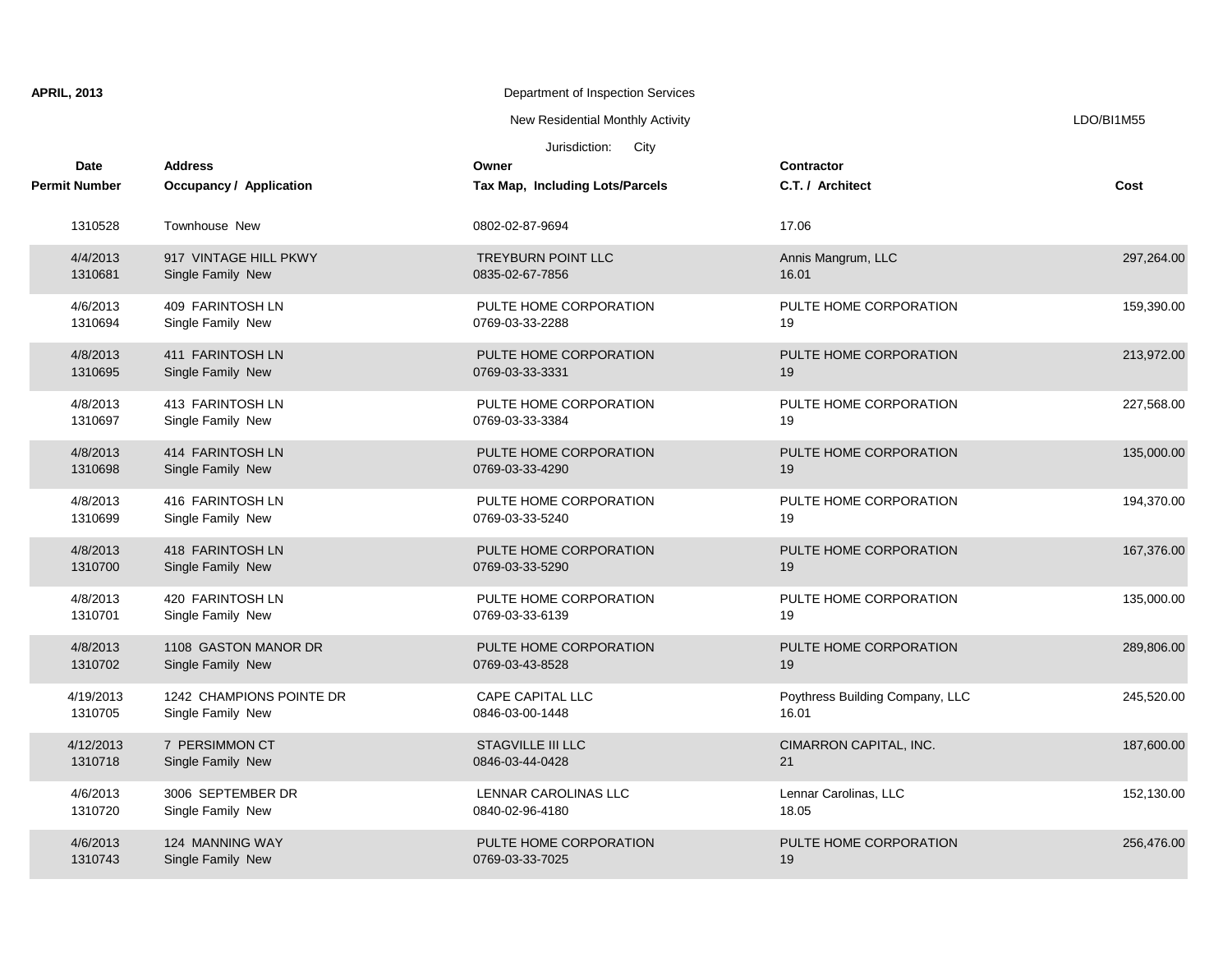| <b>APRIL, 2013</b>           |                                                  | Department of Inspection Services            |                                          |            |
|------------------------------|--------------------------------------------------|----------------------------------------------|------------------------------------------|------------|
|                              |                                                  | New Residential Monthly Activity             |                                          | LDO/BI1M55 |
|                              |                                                  | Jurisdiction:<br>City                        |                                          |            |
| Date<br><b>Permit Number</b> | <b>Address</b><br><b>Occupancy / Application</b> | Owner<br>Tax Map, Including Lots/Parcels     | <b>Contractor</b><br>C.T. / Architect    | Cost       |
| 1310528                      | Townhouse New                                    | 0802-02-87-9694                              | 17.06                                    |            |
| 4/4/2013<br>1310681          | 917 VINTAGE HILL PKWY<br>Single Family New       | <b>TREYBURN POINT LLC</b><br>0835-02-67-7856 | Annis Mangrum, LLC<br>16.01              | 297,264.00 |
| 4/6/2013<br>1310694          | 409 FARINTOSH LN<br>Single Family New            | PULTE HOME CORPORATION<br>0769-03-33-2288    | PULTE HOME CORPORATION<br>19             | 159,390.00 |
| 4/8/2013<br>1310695          | 411 FARINTOSH LN<br>Single Family New            | PULTE HOME CORPORATION<br>0769-03-33-3331    | PULTE HOME CORPORATION<br>19             | 213,972.00 |
| 4/8/2013<br>1310697          | 413 FARINTOSH LN<br>Single Family New            | PULTE HOME CORPORATION<br>0769-03-33-3384    | PULTE HOME CORPORATION<br>19             | 227,568.00 |
| 4/8/2013<br>1310698          | 414 FARINTOSH LN<br>Single Family New            | PULTE HOME CORPORATION<br>0769-03-33-4290    | PULTE HOME CORPORATION<br>19             | 135,000.00 |
| 4/8/2013<br>1310699          | 416 FARINTOSH LN<br>Single Family New            | PULTE HOME CORPORATION<br>0769-03-33-5240    | PULTE HOME CORPORATION<br>19             | 194,370.00 |
| 4/8/2013<br>1310700          | 418 FARINTOSH LN<br>Single Family New            | PULTE HOME CORPORATION<br>0769-03-33-5290    | PULTE HOME CORPORATION<br>19             | 167,376.00 |
| 4/8/2013<br>1310701          | 420 FARINTOSH LN<br>Single Family New            | PULTE HOME CORPORATION<br>0769-03-33-6139    | PULTE HOME CORPORATION<br>19             | 135,000.00 |
| 4/8/2013<br>1310702          | 1108 GASTON MANOR DR<br>Single Family New        | PULTE HOME CORPORATION<br>0769-03-43-8528    | PULTE HOME CORPORATION<br>19             | 289,806.00 |
| 4/19/2013<br>1310705         | 1242 CHAMPIONS POINTE DR<br>Single Family New    | <b>CAPE CAPITAL LLC</b><br>0846-03-00-1448   | Poythress Building Company, LLC<br>16.01 | 245,520.00 |
| 4/12/2013<br>1310718         | 7 PERSIMMON CT<br>Single Family New              | <b>STAGVILLE III LLC</b><br>0846-03-44-0428  | CIMARRON CAPITAL, INC.<br>21             | 187,600.00 |
| 4/6/2013<br>1310720          | 3006 SEPTEMBER DR<br>Single Family New           | LENNAR CAROLINAS LLC<br>0840-02-96-4180      | Lennar Carolinas, LLC<br>18.05           | 152,130.00 |
| 4/6/2013<br>1310743          | 124 MANNING WAY<br>Single Family New             | PULTE HOME CORPORATION<br>0769-03-33-7025    | PULTE HOME CORPORATION<br>19             | 256,476.00 |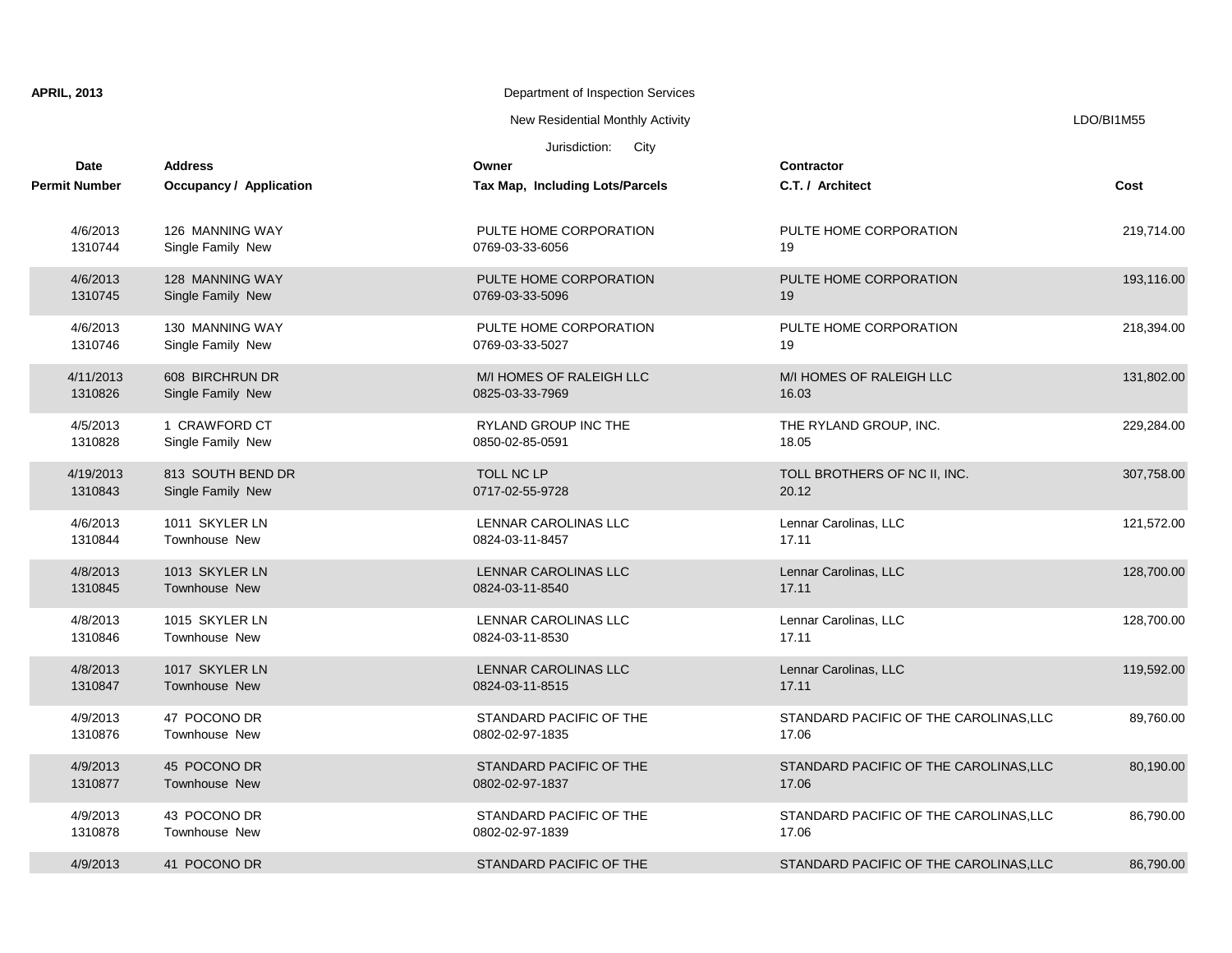| <b>APRIL, 2013</b>   |                                | Department of Inspection Services |                                        |            |
|----------------------|--------------------------------|-----------------------------------|----------------------------------------|------------|
|                      |                                | New Residential Monthly Activity  |                                        | LDO/BI1M55 |
|                      |                                | Jurisdiction:<br>City             |                                        |            |
| <b>Date</b>          | <b>Address</b>                 | Owner                             | Contractor                             |            |
| <b>Permit Number</b> | <b>Occupancy / Application</b> | Tax Map, Including Lots/Parcels   | C.T. / Architect                       | Cost       |
| 4/6/2013             | 126 MANNING WAY                | PULTE HOME CORPORATION            | PULTE HOME CORPORATION                 | 219,714.00 |
| 1310744              | Single Family New              | 0769-03-33-6056                   | 19                                     |            |
| 4/6/2013             | 128 MANNING WAY                | PULTE HOME CORPORATION            | PULTE HOME CORPORATION                 | 193,116.00 |
| 1310745              | Single Family New              | 0769-03-33-5096                   | 19                                     |            |
| 4/6/2013             | 130 MANNING WAY                | PULTE HOME CORPORATION            | PULTE HOME CORPORATION                 | 218,394.00 |
| 1310746              | Single Family New              | 0769-03-33-5027                   | 19                                     |            |
| 4/11/2013            | 608 BIRCHRUN DR                | M/I HOMES OF RALEIGH LLC          | M/I HOMES OF RALEIGH LLC               | 131,802.00 |
| 1310826              | Single Family New              | 0825-03-33-7969                   | 16.03                                  |            |
| 4/5/2013             | 1 CRAWFORD CT                  | <b>RYLAND GROUP INC THE</b>       | THE RYLAND GROUP, INC.                 | 229,284.00 |
| 1310828              | Single Family New              | 0850-02-85-0591                   | 18.05                                  |            |
| 4/19/2013            | 813 SOUTH BEND DR              | TOLL NC LP                        | TOLL BROTHERS OF NC II, INC.           | 307,758.00 |
| 1310843              | Single Family New              | 0717-02-55-9728                   | 20.12                                  |            |
| 4/6/2013             | 1011 SKYLER LN                 | LENNAR CAROLINAS LLC              | Lennar Carolinas, LLC                  | 121,572.00 |
| 1310844              | Townhouse New                  | 0824-03-11-8457                   | 17.11                                  |            |
| 4/8/2013             | 1013 SKYLER LN                 | LENNAR CAROLINAS LLC              | Lennar Carolinas, LLC                  | 128,700.00 |
| 1310845              | Townhouse New                  | 0824-03-11-8540                   | 17.11                                  |            |
| 4/8/2013             | 1015 SKYLER LN                 | LENNAR CAROLINAS LLC              | Lennar Carolinas, LLC                  | 128,700.00 |
| 1310846              | Townhouse New                  | 0824-03-11-8530                   | 17.11                                  |            |
| 4/8/2013             | 1017 SKYLER LN                 | LENNAR CAROLINAS LLC              | Lennar Carolinas, LLC                  | 119,592.00 |
| 1310847              | <b>Townhouse New</b>           | 0824-03-11-8515                   | 17.11                                  |            |
| 4/9/2013             | 47 POCONO DR                   | STANDARD PACIFIC OF THE           | STANDARD PACIFIC OF THE CAROLINAS, LLC | 89,760.00  |
| 1310876              | Townhouse New                  | 0802-02-97-1835                   | 17.06                                  |            |
| 4/9/2013             | 45 POCONO DR                   | STANDARD PACIFIC OF THE           | STANDARD PACIFIC OF THE CAROLINAS, LLC | 80,190.00  |
| 1310877              | Townhouse New                  | 0802-02-97-1837                   | 17.06                                  |            |
| 4/9/2013             | 43 POCONO DR                   | STANDARD PACIFIC OF THE           | STANDARD PACIFIC OF THE CAROLINAS, LLC | 86,790.00  |
| 1310878              | Townhouse New                  | 0802-02-97-1839                   | 17.06                                  |            |
| 4/9/2013             | 41 POCONO DR                   | STANDARD PACIFIC OF THE           | STANDARD PACIFIC OF THE CAROLINAS, LLC | 86,790.00  |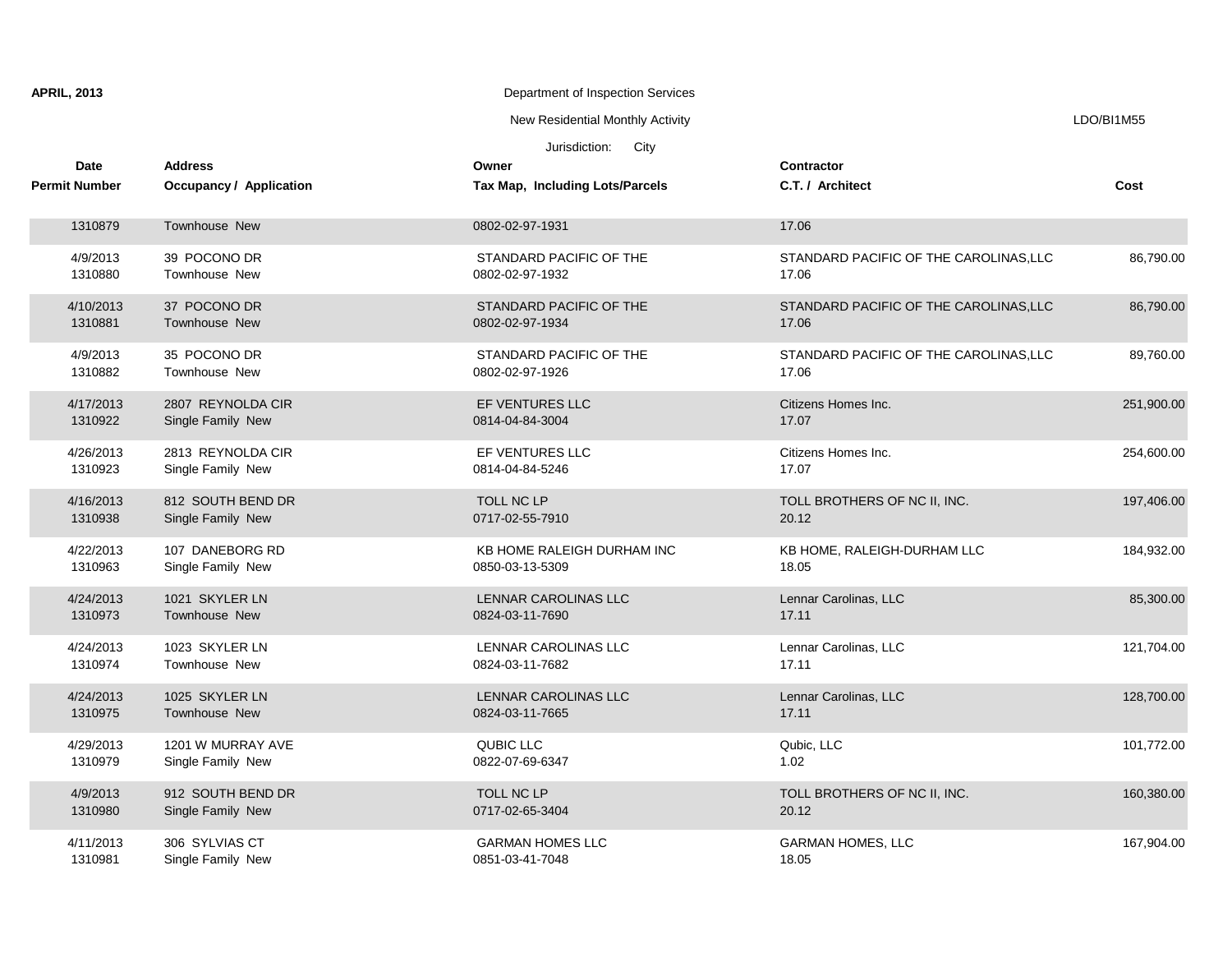| <b>APRIL, 2013</b><br>Department of Inspection Services |                              |                                           |                                               |                                                 |            |
|---------------------------------------------------------|------------------------------|-------------------------------------------|-----------------------------------------------|-------------------------------------------------|------------|
|                                                         |                              |                                           | New Residential Monthly Activity              |                                                 | LDO/BI1M55 |
|                                                         |                              |                                           | Jurisdiction: City                            |                                                 |            |
|                                                         | Date<br><b>Permit Number</b> | <b>Address</b><br>Occupancy / Application | Owner<br>Tax Map, Including Lots/Parcels      | <b>Contractor</b><br>C.T. / Architect           | Cost       |
|                                                         |                              |                                           |                                               |                                                 |            |
|                                                         | 1310879                      | Townhouse New                             | 0802-02-97-1931                               | 17.06                                           |            |
|                                                         | 4/9/2013<br>1310880          | 39 POCONO DR<br>Townhouse New             | STANDARD PACIFIC OF THE<br>0802-02-97-1932    | STANDARD PACIFIC OF THE CAROLINAS, LLC<br>17.06 | 86,790.00  |
|                                                         | 4/10/2013<br>1310881         | 37 POCONO DR<br>Townhouse New             | STANDARD PACIFIC OF THE<br>0802-02-97-1934    | STANDARD PACIFIC OF THE CAROLINAS, LLC<br>17.06 | 86,790.00  |
|                                                         | 4/9/2013<br>1310882          | 35 POCONO DR<br>Townhouse New             | STANDARD PACIFIC OF THE<br>0802-02-97-1926    | STANDARD PACIFIC OF THE CAROLINAS, LLC<br>17.06 | 89,760.00  |
|                                                         | 4/17/2013<br>1310922         | 2807 REYNOLDA CIR<br>Single Family New    | EF VENTURES LLC<br>0814-04-84-3004            | Citizens Homes Inc.<br>17.07                    | 251,900.00 |
|                                                         | 4/26/2013<br>1310923         | 2813 REYNOLDA CIR<br>Single Family New    | EF VENTURES LLC<br>0814-04-84-5246            | Citizens Homes Inc.<br>17.07                    | 254,600.00 |
|                                                         | 4/16/2013<br>1310938         | 812 SOUTH BEND DR<br>Single Family New    | <b>TOLL NC LP</b><br>0717-02-55-7910          | TOLL BROTHERS OF NC II, INC.<br>20.12           | 197,406.00 |
|                                                         | 4/22/2013<br>1310963         | 107 DANEBORG RD<br>Single Family New      | KB HOME RALEIGH DURHAM INC<br>0850-03-13-5309 | KB HOME, RALEIGH-DURHAM LLC<br>18.05            | 184,932.00 |
|                                                         | 4/24/2013<br>1310973         | 1021 SKYLER LN<br>Townhouse New           | LENNAR CAROLINAS LLC<br>0824-03-11-7690       | Lennar Carolinas, LLC<br>17.11                  | 85,300.00  |
|                                                         | 4/24/2013<br>1310974         | 1023 SKYLER LN<br>Townhouse New           | LENNAR CAROLINAS LLC<br>0824-03-11-7682       | Lennar Carolinas, LLC<br>17.11                  | 121,704.00 |
|                                                         | 4/24/2013<br>1310975         | 1025 SKYLER LN<br>Townhouse New           | LENNAR CAROLINAS LLC<br>0824-03-11-7665       | Lennar Carolinas, LLC<br>17.11                  | 128,700.00 |
|                                                         | 4/29/2013<br>1310979         | 1201 W MURRAY AVE<br>Single Family New    | QUBIC LLC<br>0822-07-69-6347                  | Qubic, LLC<br>1.02                              | 101,772.00 |
|                                                         | 4/9/2013<br>1310980          | 912 SOUTH BEND DR<br>Single Family New    | TOLL NC LP<br>0717-02-65-3404                 | TOLL BROTHERS OF NC II, INC.<br>20.12           | 160,380.00 |
|                                                         | 4/11/2013<br>1310981         | 306 SYLVIAS CT<br>Single Family New       | <b>GARMAN HOMES LLC</b><br>0851-03-41-7048    | <b>GARMAN HOMES, LLC</b><br>18.05               | 167,904.00 |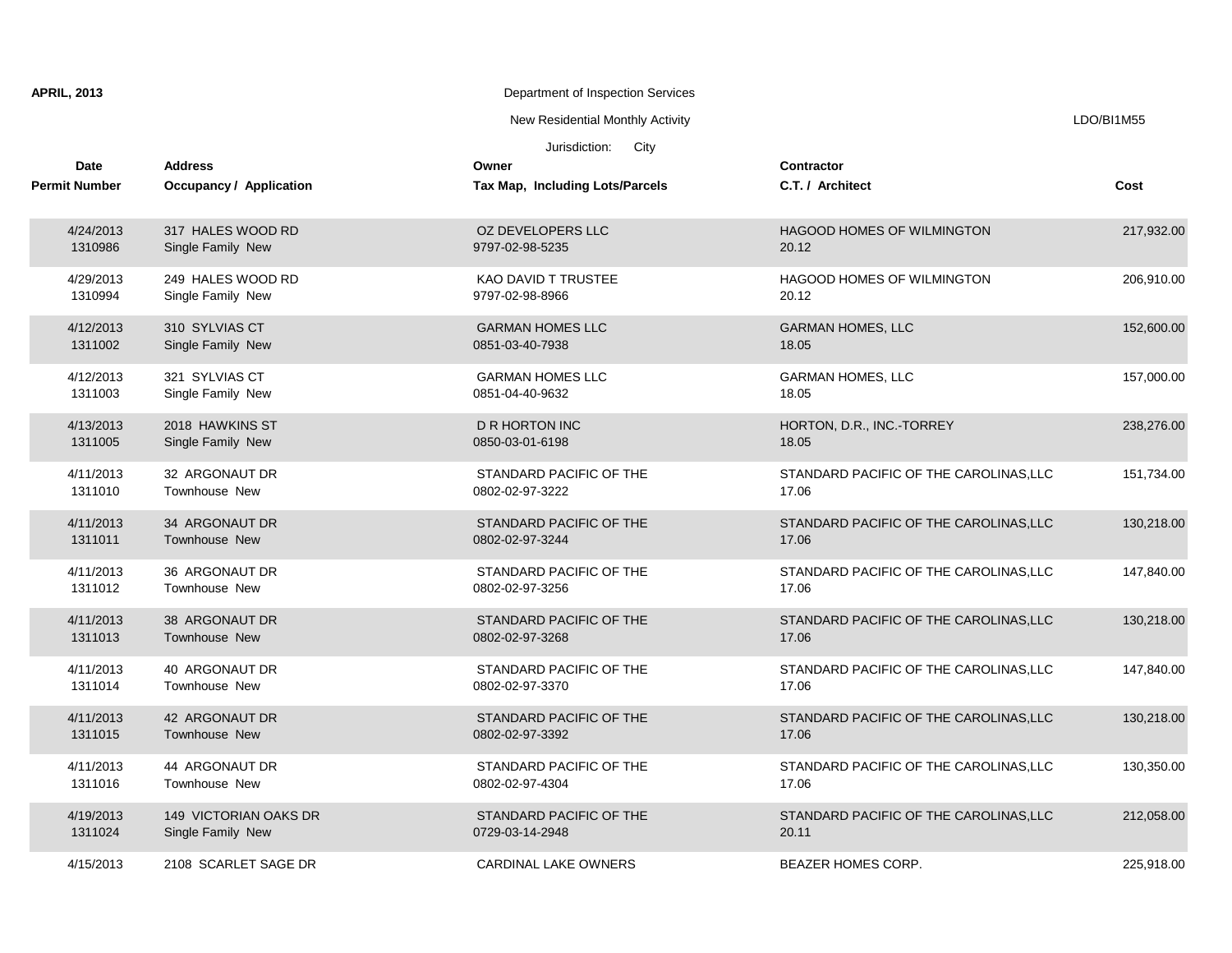| <b>APRIL, 2013</b>           |                                           | Department of Inspection Services                                 |                                        |            |
|------------------------------|-------------------------------------------|-------------------------------------------------------------------|----------------------------------------|------------|
|                              |                                           | New Residential Monthly Activity                                  |                                        | LDO/BI1M55 |
| Date<br><b>Permit Number</b> | <b>Address</b><br>Occupancy / Application | Jurisdiction:<br>City<br>Owner<br>Tax Map, Including Lots/Parcels | <b>Contractor</b><br>C.T. / Architect  | Cost       |
| 4/24/2013                    | 317 HALES WOOD RD                         | OZ DEVELOPERS LLC                                                 | <b>HAGOOD HOMES OF WILMINGTON</b>      | 217,932.00 |
| 1310986                      | Single Family New                         | 9797-02-98-5235                                                   | 20.12                                  |            |
| 4/29/2013                    | 249 HALES WOOD RD                         | <b>KAO DAVID T TRUSTEE</b>                                        | HAGOOD HOMES OF WILMINGTON             | 206,910.00 |
| 1310994                      | Single Family New                         | 9797-02-98-8966                                                   | 20.12                                  |            |
| 4/12/2013                    | 310 SYLVIAS CT                            | <b>GARMAN HOMES LLC</b>                                           | <b>GARMAN HOMES, LLC</b>               | 152,600.00 |
| 1311002                      | Single Family New                         | 0851-03-40-7938                                                   | 18.05                                  |            |
| 4/12/2013                    | 321 SYLVIAS CT                            | <b>GARMAN HOMES LLC</b>                                           | <b>GARMAN HOMES, LLC</b>               | 157,000.00 |
| 1311003                      | Single Family New                         | 0851-04-40-9632                                                   | 18.05                                  |            |
| 4/13/2013                    | 2018 HAWKINS ST                           | <b>D R HORTON INC</b>                                             | HORTON, D.R., INC.-TORREY              | 238,276.00 |
| 1311005                      | Single Family New                         | 0850-03-01-6198                                                   | 18.05                                  |            |
| 4/11/2013                    | 32 ARGONAUT DR                            | STANDARD PACIFIC OF THE                                           | STANDARD PACIFIC OF THE CAROLINAS, LLC | 151,734.00 |
| 1311010                      | <b>Townhouse New</b>                      | 0802-02-97-3222                                                   | 17.06                                  |            |
| 4/11/2013                    | 34 ARGONAUT DR                            | STANDARD PACIFIC OF THE                                           | STANDARD PACIFIC OF THE CAROLINAS, LLC | 130,218.00 |
| 1311011                      | <b>Townhouse New</b>                      | 0802-02-97-3244                                                   | 17.06                                  |            |
| 4/11/2013                    | 36 ARGONAUT DR                            | STANDARD PACIFIC OF THE                                           | STANDARD PACIFIC OF THE CAROLINAS, LLC | 147,840.00 |
| 1311012                      | Townhouse New                             | 0802-02-97-3256                                                   | 17.06                                  |            |
| 4/11/2013                    | 38 ARGONAUT DR                            | STANDARD PACIFIC OF THE                                           | STANDARD PACIFIC OF THE CAROLINAS, LLC | 130,218.00 |
| 1311013                      | <b>Townhouse New</b>                      | 0802-02-97-3268                                                   | 17.06                                  |            |
| 4/11/2013                    | 40 ARGONAUT DR                            | STANDARD PACIFIC OF THE                                           | STANDARD PACIFIC OF THE CAROLINAS.LLC  | 147,840.00 |
| 1311014                      | Townhouse New                             | 0802-02-97-3370                                                   | 17.06                                  |            |
| 4/11/2013                    | 42 ARGONAUT DR                            | STANDARD PACIFIC OF THE                                           | STANDARD PACIFIC OF THE CAROLINAS, LLC | 130,218.00 |
| 1311015                      | <b>Townhouse New</b>                      | 0802-02-97-3392                                                   | 17.06                                  |            |
| 4/11/2013                    | 44 ARGONAUT DR                            | STANDARD PACIFIC OF THE                                           | STANDARD PACIFIC OF THE CAROLINAS, LLC | 130,350.00 |
| 1311016                      | <b>Townhouse New</b>                      | 0802-02-97-4304                                                   | 17.06                                  |            |
| 4/19/2013                    | 149 VICTORIAN OAKS DR                     | STANDARD PACIFIC OF THE                                           | STANDARD PACIFIC OF THE CAROLINAS, LLC | 212,058.00 |
| 1311024                      | Single Family New                         | 0729-03-14-2948                                                   | 20.11                                  |            |
| 4/15/2013                    | 2108 SCARLET SAGE DR                      | <b>CARDINAL LAKE OWNERS</b>                                       | <b>BEAZER HOMES CORP.</b>              | 225,918.00 |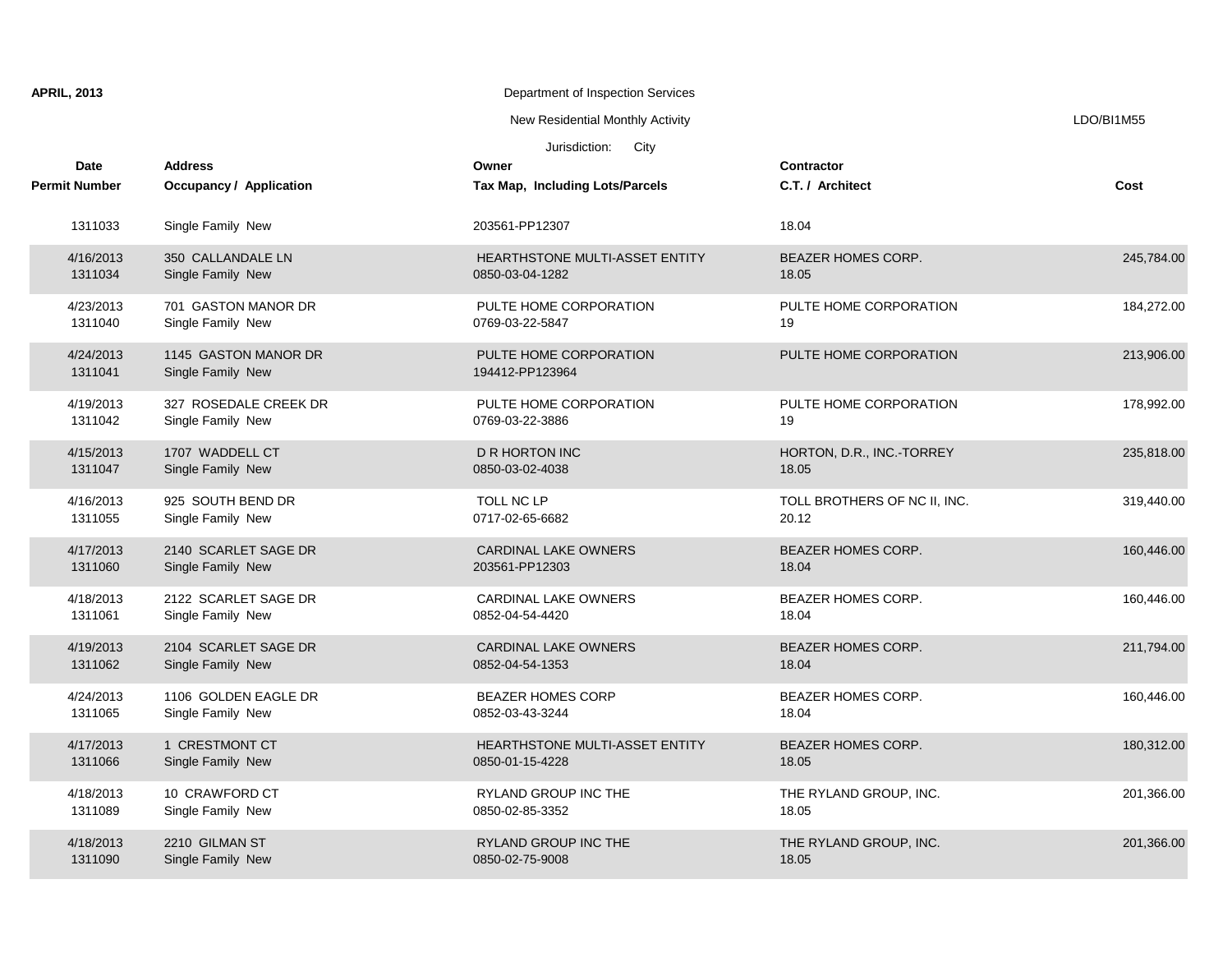| <b>APRIL, 2013</b>           |                                            | Department of Inspection Services                 |                                       |            |
|------------------------------|--------------------------------------------|---------------------------------------------------|---------------------------------------|------------|
|                              |                                            | New Residential Monthly Activity                  |                                       | LDO/BI1M55 |
|                              |                                            | Jurisdiction:<br>City                             |                                       |            |
| Date<br><b>Permit Number</b> | <b>Address</b><br>Occupancy / Application  | Owner<br>Tax Map, Including Lots/Parcels          | Contractor<br>C.T. / Architect        | Cost       |
| 1311033                      | Single Family New                          | 203561-PP12307                                    | 18.04                                 |            |
| 4/16/2013<br>1311034         | 350 CALLANDALE LN<br>Single Family New     | HEARTHSTONE MULTI-ASSET ENTITY<br>0850-03-04-1282 | <b>BEAZER HOMES CORP.</b><br>18.05    | 245,784.00 |
| 4/23/2013<br>1311040         | 701 GASTON MANOR DR<br>Single Family New   | PULTE HOME CORPORATION<br>0769-03-22-5847         | PULTE HOME CORPORATION<br>19          | 184,272.00 |
| 4/24/2013<br>1311041         | 1145 GASTON MANOR DR<br>Single Family New  | PULTE HOME CORPORATION<br>194412-PP123964         | PULTE HOME CORPORATION                | 213,906.00 |
| 4/19/2013<br>1311042         | 327 ROSEDALE CREEK DR<br>Single Family New | PULTE HOME CORPORATION<br>0769-03-22-3886         | PULTE HOME CORPORATION<br>19          | 178,992.00 |
| 4/15/2013<br>1311047         | 1707 WADDELL CT<br>Single Family New       | <b>D R HORTON INC</b><br>0850-03-02-4038          | HORTON, D.R., INC.-TORREY<br>18.05    | 235,818.00 |
| 4/16/2013<br>1311055         | 925 SOUTH BEND DR<br>Single Family New     | TOLL NC LP<br>0717-02-65-6682                     | TOLL BROTHERS OF NC II, INC.<br>20.12 | 319,440.00 |
| 4/17/2013<br>1311060         | 2140 SCARLET SAGE DR<br>Single Family New  | <b>CARDINAL LAKE OWNERS</b><br>203561-PP12303     | <b>BEAZER HOMES CORP.</b><br>18.04    | 160,446.00 |
| 4/18/2013<br>1311061         | 2122 SCARLET SAGE DR<br>Single Family New  | <b>CARDINAL LAKE OWNERS</b><br>0852-04-54-4420    | <b>BEAZER HOMES CORP.</b><br>18.04    | 160,446.00 |
| 4/19/2013<br>1311062         | 2104 SCARLET SAGE DR<br>Single Family New  | <b>CARDINAL LAKE OWNERS</b><br>0852-04-54-1353    | <b>BEAZER HOMES CORP.</b><br>18.04    | 211,794.00 |
| 4/24/2013<br>1311065         | 1106 GOLDEN EAGLE DR<br>Single Family New  | <b>BEAZER HOMES CORP</b><br>0852-03-43-3244       | <b>BEAZER HOMES CORP.</b><br>18.04    | 160,446.00 |
| 4/17/2013<br>1311066         | 1 CRESTMONT CT<br>Single Family New        | HEARTHSTONE MULTI-ASSET ENTITY<br>0850-01-15-4228 | <b>BEAZER HOMES CORP.</b><br>18.05    | 180,312.00 |
| 4/18/2013<br>1311089         | 10 CRAWFORD CT<br>Single Family New        | RYLAND GROUP INC THE<br>0850-02-85-3352           | THE RYLAND GROUP, INC.<br>18.05       | 201,366.00 |
| 4/18/2013<br>1311090         | 2210 GILMAN ST<br>Single Family New        | RYLAND GROUP INC THE<br>0850-02-75-9008           | THE RYLAND GROUP, INC.<br>18.05       | 201,366.00 |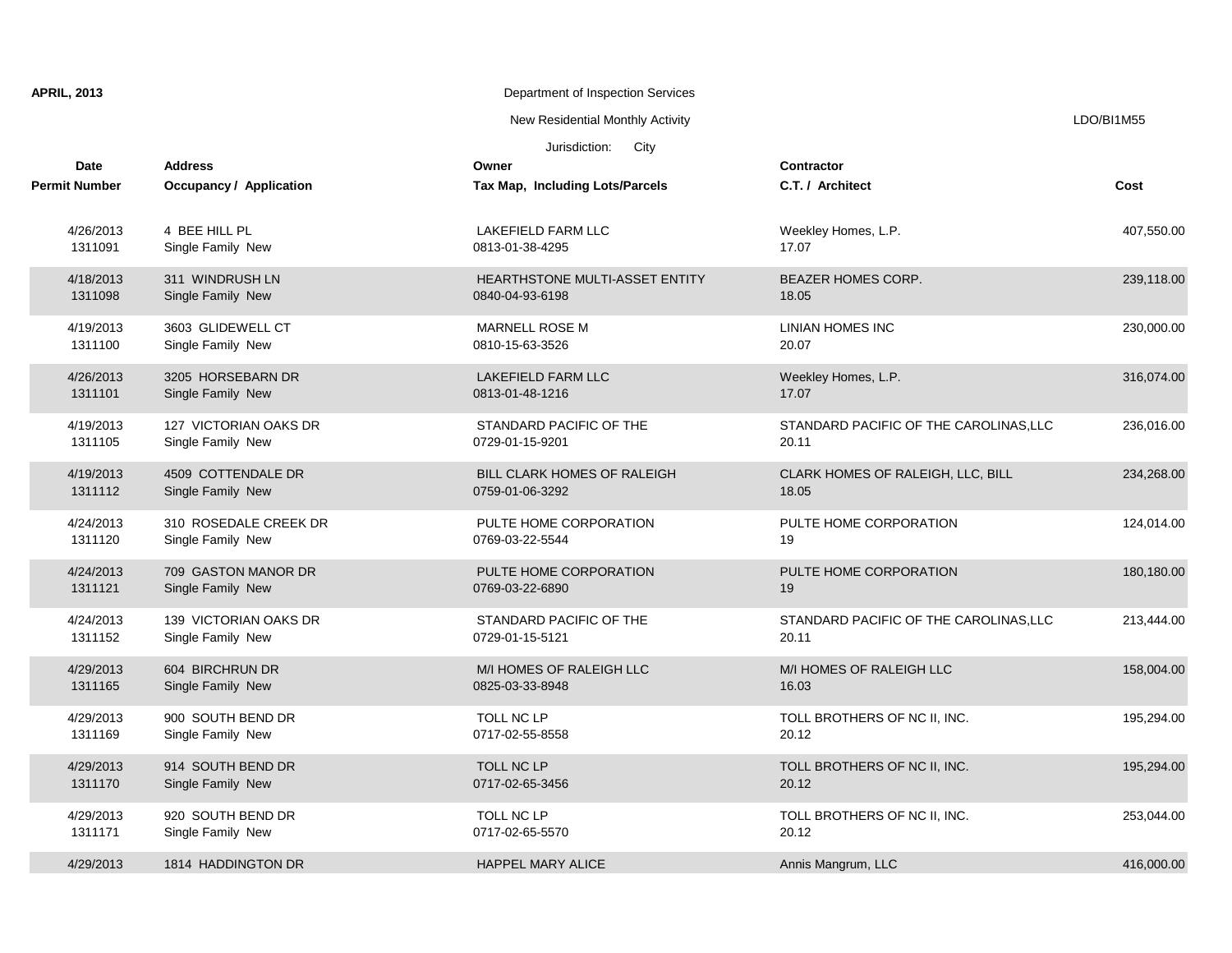| <b>APRIL, 2013</b>   |                                            | Department of Inspection Services                 |                                                 |            |
|----------------------|--------------------------------------------|---------------------------------------------------|-------------------------------------------------|------------|
|                      |                                            | New Residential Monthly Activity                  |                                                 | LDO/BI1M55 |
|                      |                                            | Jurisdiction:<br>City                             |                                                 |            |
| Date                 | <b>Address</b>                             | Owner                                             | <b>Contractor</b>                               |            |
| <b>Permit Number</b> | Occupancy / Application                    | Tax Map, Including Lots/Parcels                   | C.T. / Architect                                | Cost       |
| 4/26/2013<br>1311091 | 4 BEE HILL PL<br>Single Family New         | LAKEFIELD FARM LLC<br>0813-01-38-4295             | Weekley Homes, L.P.<br>17.07                    | 407,550.00 |
| 4/18/2013<br>1311098 | 311 WINDRUSH LN<br>Single Family New       | HEARTHSTONE MULTI-ASSET ENTITY<br>0840-04-93-6198 | BEAZER HOMES CORP.<br>18.05                     | 239,118.00 |
| 4/19/2013<br>1311100 | 3603 GLIDEWELL CT<br>Single Family New     | MARNELL ROSE M<br>0810-15-63-3526                 | LINIAN HOMES INC<br>20.07                       | 230,000.00 |
| 4/26/2013<br>1311101 | 3205 HORSEBARN DR<br>Single Family New     | <b>LAKEFIELD FARM LLC</b><br>0813-01-48-1216      | Weekley Homes, L.P.<br>17.07                    | 316,074.00 |
| 4/19/2013<br>1311105 | 127 VICTORIAN OAKS DR<br>Single Family New | STANDARD PACIFIC OF THE<br>0729-01-15-9201        | STANDARD PACIFIC OF THE CAROLINAS, LLC<br>20.11 | 236,016.00 |
| 4/19/2013<br>1311112 | 4509 COTTENDALE DR<br>Single Family New    | BILL CLARK HOMES OF RALEIGH<br>0759-01-06-3292    | CLARK HOMES OF RALEIGH, LLC, BILL<br>18.05      | 234,268.00 |
| 4/24/2013<br>1311120 | 310 ROSEDALE CREEK DR<br>Single Family New | PULTE HOME CORPORATION<br>0769-03-22-5544         | PULTE HOME CORPORATION<br>19                    | 124,014.00 |
| 4/24/2013<br>1311121 | 709 GASTON MANOR DR<br>Single Family New   | PULTE HOME CORPORATION<br>0769-03-22-6890         | PULTE HOME CORPORATION<br>19                    | 180,180.00 |
| 4/24/2013<br>1311152 | 139 VICTORIAN OAKS DR<br>Single Family New | STANDARD PACIFIC OF THE<br>0729-01-15-5121        | STANDARD PACIFIC OF THE CAROLINAS, LLC<br>20.11 | 213,444.00 |
| 4/29/2013<br>1311165 | 604 BIRCHRUN DR<br>Single Family New       | M/I HOMES OF RALEIGH LLC<br>0825-03-33-8948       | M/I HOMES OF RALEIGH LLC<br>16.03               | 158,004.00 |
| 4/29/2013<br>1311169 | 900 SOUTH BEND DR<br>Single Family New     | TOLL NC LP<br>0717-02-55-8558                     | TOLL BROTHERS OF NC II, INC.<br>20.12           | 195,294.00 |
| 4/29/2013<br>1311170 | 914 SOUTH BEND DR<br>Single Family New     | TOLL NC LP<br>0717-02-65-3456                     | TOLL BROTHERS OF NC II, INC.<br>20.12           | 195,294.00 |
| 4/29/2013<br>1311171 | 920 SOUTH BEND DR<br>Single Family New     | TOLL NC LP<br>0717-02-65-5570                     | TOLL BROTHERS OF NC II, INC.<br>20.12           | 253,044.00 |
| 4/29/2013            | 1814 HADDINGTON DR                         | <b>HAPPEL MARY ALICE</b>                          | Annis Mangrum, LLC                              | 416,000.00 |